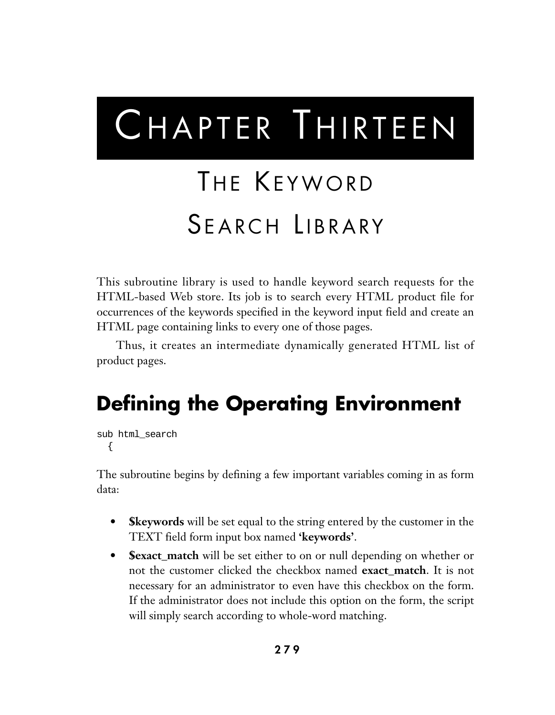# CHAPTER THIRTEEN

# THE KEYWORD SEARCH LIBRARY

This subroutine library is used to handle keyword search requests for the HTML-based Web store. Its job is to search every HTML product file for occurrences of the keywords specified in the keyword input field and create an HTML page containing links to every one of those pages.

Thus, it creates an intermediate dynamically generated HTML list of product pages.

# **Defining the Operating Environment**

```
sub html_search
  {
```
The subroutine begins by defining a few important variables coming in as form data:

- **Skeywords** will be set equal to the string entered by the customer in the TEXT field form input box named **'keywords'**.
- **\$exact\_match** will be set either to on or null depending on whether or not the customer clicked the checkbox named **exact\_match**. It is not necessary for an administrator to even have this checkbox on the form. If the administrator does not include this option on the form, the script will simply search according to whole-word matching.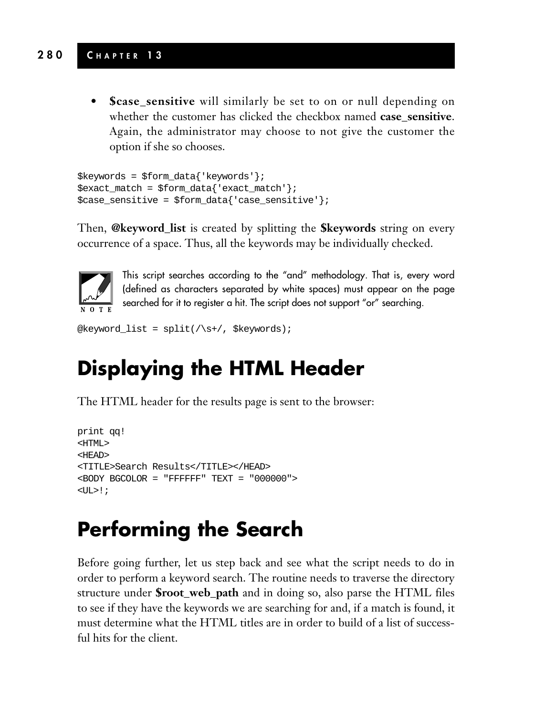#### **280 C HAPTER 1 3**

**• \$case\_sensitive** will similarly be set to on or null depending on whether the customer has clicked the checkbox named **case** sensitive. Again, the administrator may choose to not give the customer the option if she so chooses.

```
$keywords = $form_data{'keywords'};
$exact_match = $form_data{'exact_match'};
$case sensitive = $form data{'case sensitive'};
```
Then, **@keyword\_list** is created by splitting the **\$keywords** string on every occurrence of a space. Thus, all the keywords may be individually checked.



This script searches according to the "and" methodology. That is, every word (defined as characters separated by white spaces) must appear on the page searched for it to register a hit. The script does not support "or" searching.

```
@keyword_list = split(/\s+/, $keywords);
```
# **Displaying the HTML Header**

The HTML header for the results page is sent to the browser:

```
print qq!
<HTML>
<HEAD>
<TITLE>Search Results</TITLE></HEAD>
<BODY BGCOLOR = "FFFFFF" TEXT = "000000">
\langleUL>!;
```
# **Performing the Search**

Before going further, let us step back and see what the script needs to do in order to perform a keyword search. The routine needs to traverse the directory structure under **\$root\_web\_path** and in doing so, also parse the HTML files to see if they have the keywords we are searching for and, if a match is found, it must determine what the HTML titles are in order to build of a list of successful hits for the client.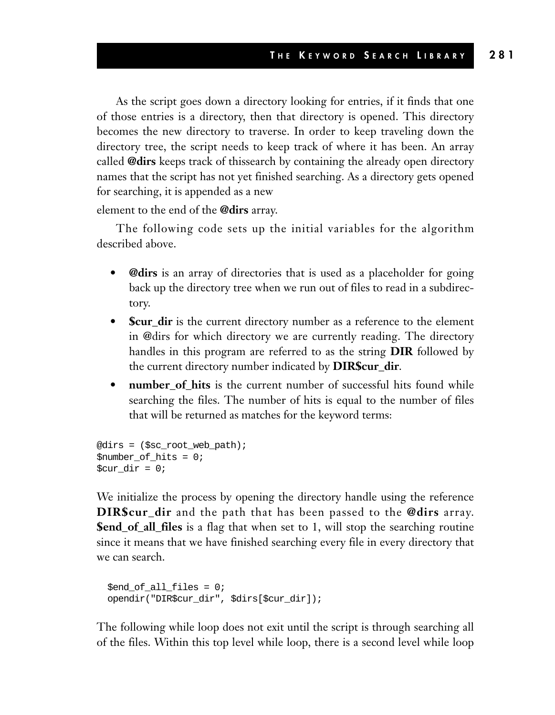As the script goes down a directory looking for entries, if it finds that one of those entries is a directory, then that directory is opened. This directory becomes the new directory to traverse. In order to keep traveling down the directory tree, the script needs to keep track of where it has been. An array called **@dirs** keeps track of thissearch by containing the already open directory names that the script has not yet finished searching. As a directory gets opened for searching, it is appended as a new

element to the end of the **@dirs** array.

The following code sets up the initial variables for the algorithm described above.

- **@dirs** is an array of directories that is used as a placeholder for going back up the directory tree when we run out of files to read in a subdirectory.
- **\$cur\_dir** is the current directory number as a reference to the element in @dirs for which directory we are currently reading. The directory handles in this program are referred to as the string **DIR** followed by the current directory number indicated by **DIR\$cur\_dir**.
- **number of hits** is the current number of successful hits found while searching the files. The number of hits is equal to the number of files that will be returned as matches for the keyword terms:

```
@dirs = ($sc_root_web_path);
$number_of_hits = 0;
\textrm{Scur} dir = 0;
```
We initialize the process by opening the directory handle using the reference **DIR\$cur\_dir** and the path that has been passed to the **@dirs** array. **\$end\_of\_all\_files** is a flag that when set to 1, will stop the searching routine since it means that we have finished searching every file in every directory that we can search.

```
$end of all files = 0;
opendir("DIR$cur_dir", $dirs[$cur_dir]);
```
The following while loop does not exit until the script is through searching all of the files. Within this top level while loop, there is a second level while loop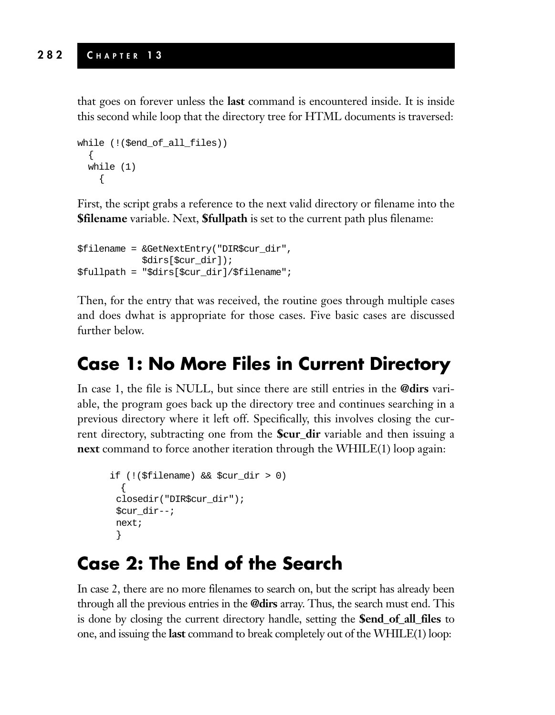that goes on forever unless the **last** command is encountered inside. It is inside this second while loop that the directory tree for HTML documents is traversed:

```
while (!($end_of_all_files))
  {
  while (1)
    {
```
First, the script grabs a reference to the next valid directory or filename into the **\$filename** variable. Next, **\$fullpath** is set to the current path plus filename:

```
$filename = &GetNextEntry("DIR$cur_dir",
            $dirs[$cur_dir]);
$fullpath = "$dirs[$cur_dir]/$filename";
```
Then, for the entry that was received, the routine goes through multiple cases and does dwhat is appropriate for those cases. Five basic cases are discussed further below.

#### **Case 1: No More Files in Current Directory**

In case 1, the file is NULL, but since there are still entries in the **@dirs** variable, the program goes back up the directory tree and continues searching in a previous directory where it left off. Specifically, this involves closing the current directory, subtracting one from the **\$cur\_dir** variable and then issuing a **next** command to force another iteration through the WHILE(1) loop again:

```
if (!($filename) && $cur_dir > 0)
  {
 closedir("DIR$cur_dir");
 $cur_dir--;
next;
 }
```
#### **Case 2: The End of the Search**

In case 2, there are no more filenames to search on, but the script has already been through all the previous entries in the **@dirs** array. Thus, the search must end. This is done by closing the current directory handle, setting the **\$end\_of\_all\_files** to one, and issuing the **last** command to break completely out of the WHILE(1) loop: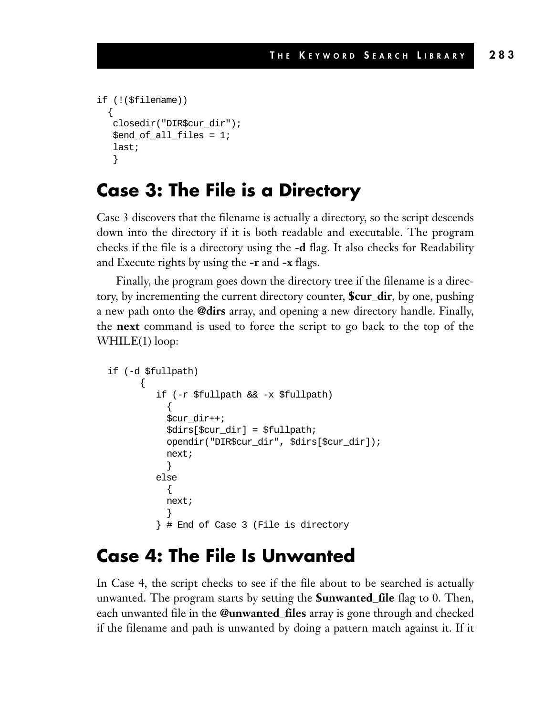```
if (!($filename))
  \left\{ \right.closedir("DIR$cur_dir");
   $end_of_all_files = 1;
   last;
   }
```
#### **Case 3: The File is a Directory**

Case 3 discovers that the filename is actually a directory, so the script descends down into the directory if it is both readable and executable. The program checks if the file is a directory using the -**d** flag. It also checks for Readability and Execute rights by using the **-r** and **-x** flags.

Finally, the program goes down the directory tree if the filename is a directory, by incrementing the current directory counter, **\$cur\_dir**, by one, pushing a new path onto the **@dirs** array, and opening a new directory handle. Finally, the **next** command is used to force the script to go back to the top of the WHILE(1) loop:

```
if (-d $fullpath)
      {
         if (-r $fullpath && -x $fullpath)
           {
           $cur_dir++;
           $dirs[$cur_dir] = $fullpath;
           opendir("DIR$cur_dir", $dirs[$cur_dir]);
           next;
           }
         else
           {
           next;
           }
         } # End of Case 3 (File is directory
```
#### **Case 4: The File Is Unwanted**

In Case 4, the script checks to see if the file about to be searched is actually unwanted. The program starts by setting the **\$unwanted\_file** flag to 0. Then, each unwanted file in the **@unwanted\_files** array is gone through and checked if the filename and path is unwanted by doing a pattern match against it. If it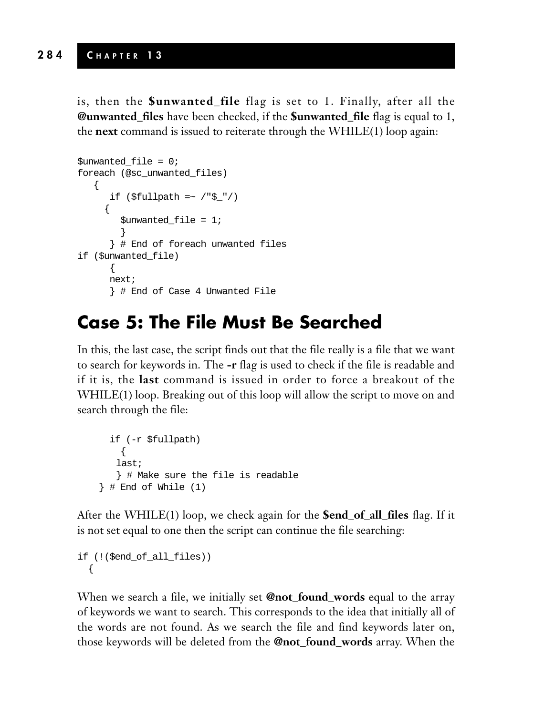is, then the **\$unwanted\_file** flag is set to 1. Finally, after all the **@unwanted\_files** have been checked, if the **\$unwanted\_file** flag is equal to 1, the **next** command is issued to reiterate through the WHILE(1) loop again:

```
$unwanted file = 0;foreach (@sc_unwanted_files)
   {
      if (\frac{\xi_{\text{full}}}{\xi_{\text{min}}}){
         $unwanted_file = 1;}
       } # End of foreach unwanted files
if ($unwanted_file)
       {
      next;
       } # End of Case 4 Unwanted File
```
#### **Case 5: The File Must Be Searched**

In this, the last case, the script finds out that the file really is a file that we want to search for keywords in. The **-r** flag is used to check if the file is readable and if it is, the **last** command is issued in order to force a breakout of the WHILE(1) loop. Breaking out of this loop will allow the script to move on and search through the file:

```
if (-r $fullpath)
   {
   last;
   } # Make sure the file is readable
\} # End of While (1)
```
After the WHILE(1) loop, we check again for the **\$end\_of\_all\_files** flag. If it is not set equal to one then the script can continue the file searching:

```
if (!($end_of_all_files))
  {
```
When we search a file, we initially set **@not\_found\_words** equal to the array of keywords we want to search. This corresponds to the idea that initially all of the words are not found. As we search the file and find keywords later on, those keywords will be deleted from the **@not\_found\_words** array. When the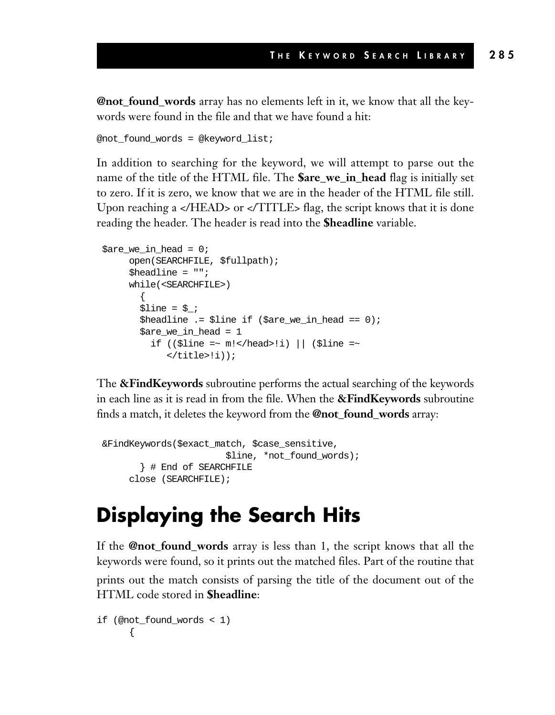**@not\_found\_words** array has no elements left in it, we know that all the keywords were found in the file and that we have found a hit:

```
@not_found_words = @keyword_list;
```
In addition to searching for the keyword, we will attempt to parse out the name of the title of the HTML file. The **\$are\_we\_in\_head** flag is initially set to zero. If it is zero, we know that we are in the header of the HTML file still. Upon reaching a </HEAD> or </TITLE> flag, the script knows that it is done reading the header. The header is read into the **\$headline** variable.

```
$are we in head = 0;
     open(SEARCHFILE, $fullpath);
     $headline = "";
     while(<SEARCHFILE>)
       {
       $line = $;
       $headline .= $line if ($are_we_in_head == 0);
       $are_we_in_head = 1
         if (($line =~ m!</head>!i) || ($line =~
            \langletitle>!i));
```
The **&FindKeywords** subroutine performs the actual searching of the keywords in each line as it is read in from the file. When the **&FindKeywords** subroutine finds a match, it deletes the keyword from the **@not\_found\_words** array:

```
&FindKeywords($exact_match, $case_sensitive,
                      $line, *not_found_words);
       } # End of SEARCHFILE
     close (SEARCHFILE);
```
# **Displaying the Search Hits**

If the **@not\_found\_words** array is less than 1, the script knows that all the keywords were found, so it prints out the matched files. Part of the routine that prints out the match consists of parsing the title of the document out of the HTML code stored in **\$headline**:

```
if (@not_found_words < 1)
      {
```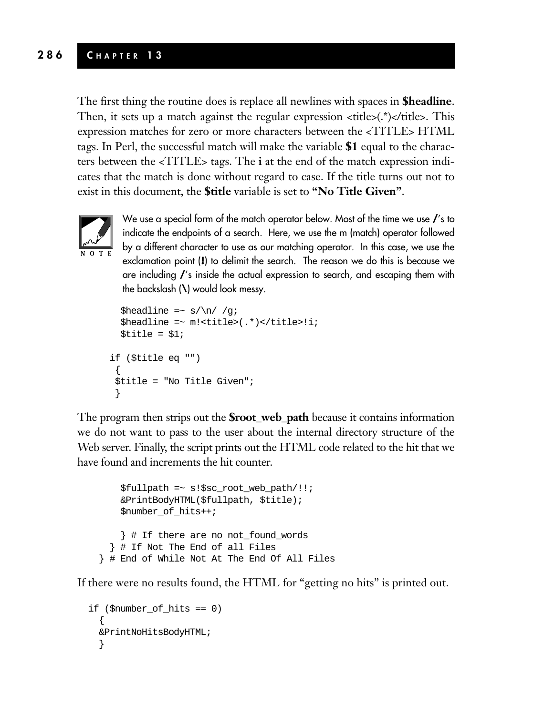#### **286 C HAPTER 1 3**

The first thing the routine does is replace all newlines with spaces in **\$headline**. Then, it sets up a match against the regular expression  $\langle$ title $\rangle$ ( $\langle$ \*) $\langle$ /title $\rangle$ . This expression matches for zero or more characters between the <TITLE> HTML tags. In Perl, the successful match will make the variable **\$1** equal to the characters between the <TITLE> tags. The **i** at the end of the match expression indicates that the match is done without regard to case. If the title turns out not to exist in this document, the **\$title** variable is set to **"No Title Given"**.



We use a special form of the match operator below. Most of the time we use **/**'s to indicate the endpoints of a search. Here, we use the m (match) operator followed by a different character to use as our matching operator. In this case, we use the exclamation point (**!**) to delimit the search. The reason we do this is because we are including **/**'s inside the actual expression to search, and escaping them with the backslash (**\**) would look messy.

```
$headline =~ s/\n\ln/ /g;
  $headline =~ m!<title>(.*)</title>!i;
  $title = $1;if ($title eq "")
 {
$title = "No Title Given";
 }
```
The program then strips out the **\$root\_web\_path** because it contains information we do not want to pass to the user about the internal directory structure of the Web server. Finally, the script prints out the HTML code related to the hit that we have found and increments the hit counter.

\$fullpath =~ s!\$sc\_root\_web\_path/!!; &PrintBodyHTML(\$fullpath, \$title); \$number\_of\_hits++; } # If there are no not\_found\_words } # If Not The End of all Files } # End of While Not At The End Of All Files

If there were no results found, the HTML for "getting no hits" is printed out.

```
if ($number_of_hits == 0)
  {
 &PrintNoHitsBodyHTML;
  }
```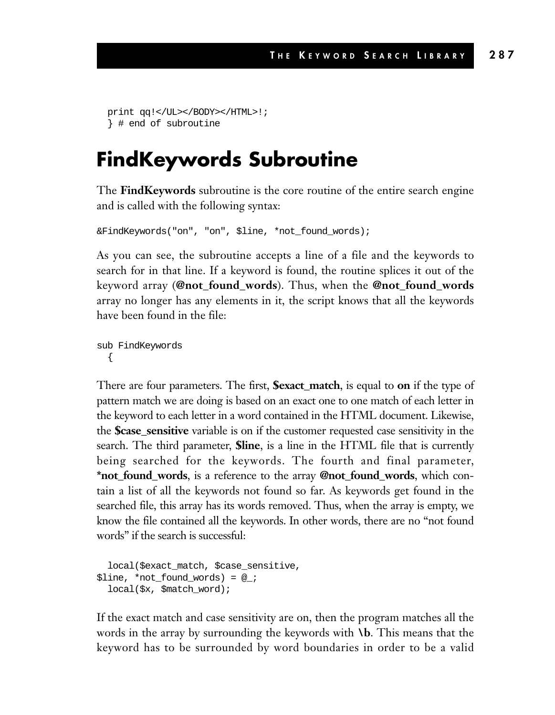```
print qq!</UL></BODY></HTML>!;
} # end of subroutine
```
## **FindKeywords Subroutine**

The **FindKeywords** subroutine is the core routine of the entire search engine and is called with the following syntax:

```
&FindKeywords("on", "on", $line, *not_found_words);
```
As you can see, the subroutine accepts a line of a file and the keywords to search for in that line. If a keyword is found, the routine splices it out of the keyword array (**@not\_found\_words**). Thus, when the **@not\_found\_words** array no longer has any elements in it, the script knows that all the keywords have been found in the file:

sub FindKeywords {

There are four parameters. The first, **\$exact\_match**, is equal to **on** if the type of pattern match we are doing is based on an exact one to one match of each letter in the keyword to each letter in a word contained in the HTML document. Likewise, the **\$case\_sensitive** variable is on if the customer requested case sensitivity in the search. The third parameter, **\$line**, is a line in the HTML file that is currently being searched for the keywords. The fourth and final parameter, **\*not\_found\_words**, is a reference to the array **@not\_found\_words**, which contain a list of all the keywords not found so far. As keywords get found in the searched file, this array has its words removed. Thus, when the array is empty, we know the file contained all the keywords. In other words, there are no "not found words" if the search is successful:

```
local($exact_match, $case_sensitive,
$line, *not_found_words) = @_;
  local($x, $match_word);
```
If the exact match and case sensitivity are on, then the program matches all the words in the array by surrounding the keywords with **\b**. This means that the keyword has to be surrounded by word boundaries in order to be a valid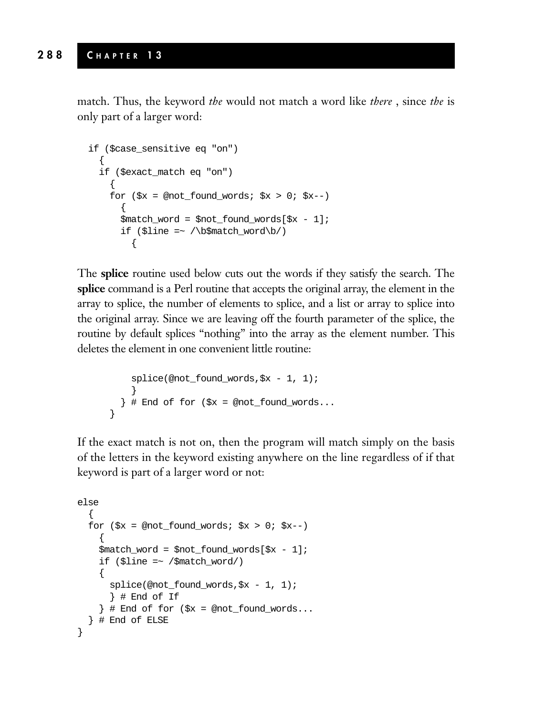match. Thus, the keyword *the* would not match a word like *there* , since *the* is only part of a larger word:

```
if ($case_sensitive eq "on")
  {
  if ($exact_match eq "on")
     {
    for (\frac{5}{x} = \text{mod\_found\_words}; \frac{5}{x} > 0; \frac{5}{x} - ){
       $match word = $not found words[$x - 1];
       if ($line =~ /\b$match_word\b/)
          {
```
The **splice** routine used below cuts out the words if they satisfy the search. The **splice** command is a Perl routine that accepts the original array, the element in the array to splice, the number of elements to splice, and a list or array to splice into the original array. Since we are leaving off the fourth parameter of the splice, the routine by default splices "nothing" into the array as the element number. This deletes the element in one convenient little routine:

```
splice(@not_found_words,$x - 1, 1);
    }
  \} # End of for (\frac{5x}{x} = @not_found_words...
}
```
If the exact match is not on, then the program will match simply on the basis of the letters in the keyword existing anywhere on the line regardless of if that keyword is part of a larger word or not:

```
else
  {
  for (\frac{5}{x} = \text{mod} \text{ found words}; \frac{5}{x} > 0; \frac{5}{x} < -){
    $match_word = $not_found_words[$x - 1];
    if ($line =~ /$match_word/)
     {
       splice(@not_found_words,$x - 1, 1);
       } # End of If
     \} # End of for (\frac{5}{x} = \text{mod\_found\_words...})} # End of ELSE
}
```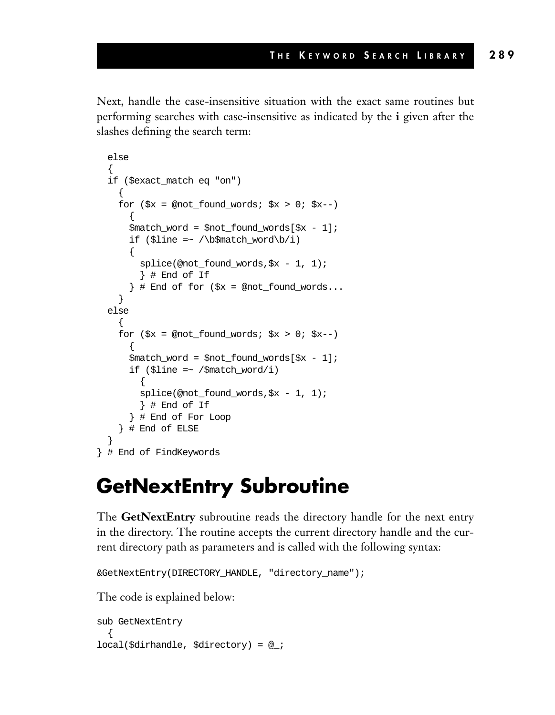Next, handle the case-insensitive situation with the exact same routines but performing searches with case-insensitive as indicated by the **i** given after the slashes defining the search term:

```
else
  {
  if ($exact_match eq "on")
     {
    for (\frac{5}{x} = \text{mod\_found\_words}; \frac{5}{x} > 0; \frac{5}{x} > -){
       $match word = $not found words[$x - 1];
       if ($line =~ /\b$match_word\b/i)
       {
         splice(@not_found_words,$x - 1, 1);
         } # End of If
       \} # End of for (\zeta x = @not_found_words...
    }
  else
     {
    for (\frac{5}{x} = \text{mod\_found\_words}; \frac{5}{x} > 0; \frac{5}{x} - ){
       $match word = $not found words[$x - 1];
      if ($line =~ /$match_word/i)
         {
         splice(@not_found_words,$x - 1, 1);
         } # End of If
       } # End of For Loop
    } # End of ELSE
  }
} # End of FindKeywords
```
### **GetNextEntry Subroutine**

The **GetNextEntry** subroutine reads the directory handle for the next entry in the directory. The routine accepts the current directory handle and the current directory path as parameters and is called with the following syntax:

```
&GetNextEntry(DIRECTORY_HANDLE, "directory_name");
```
The code is explained below:

```
sub GetNextEntry
  {
local($dirhandle, $directory) = @_;
```